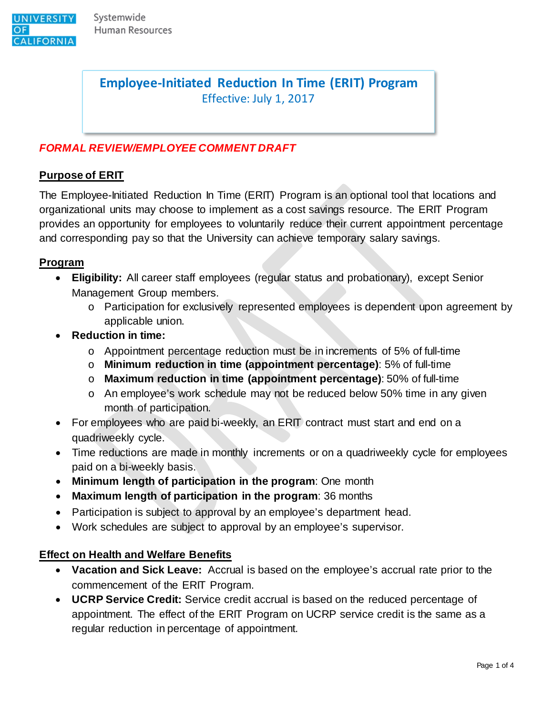

**Employee-Initiated Reduction In Time (ERIT) Program**  Effective: July 1, 2017

# *FORMAL REVIEW/EMPLOYEE COMMENT DRAFT*

#### **Purpose of ERIT**

The Employee-Initiated Reduction In Time (ERIT) Program is an optional tool that locations and organizational units may choose to implement as a cost savings resource. The ERIT Program provides an opportunity for employees to voluntarily reduce their current appointment percentage and corresponding pay so that the University can achieve temporary salary savings.

#### **Program**

- **Eligibility:** All career staff employees (regular status and probationary), except Senior Management Group members.
	- o Participation for exclusively represented employees is dependent upon agreement by applicable union.
- **Reduction in time:** 
	- o Appointment percentage reduction must be in increments of 5% of full-time
	- o **Minimum reduction in time (appointment percentage)**: 5% of full-time
	- o **Maximum reduction in time (appointment percentage)**: 50% of full-time
	- o An employee's work schedule may not be reduced below 50% time in any given month of participation.
- For employees who are paid bi-weekly, an ERIT contract must start and end on a quadriweekly cycle.
- Time reductions are made in monthly increments or on a quadriweekly cycle for employees paid on a bi-weekly basis.
- **Minimum length of participation in the program**: One month
- **Maximum length of participation in the program**: 36 months
- Participation is subject to approval by an employee's department head.
- Work schedules are subject to approval by an employee's supervisor.

#### **Effect on Health and Welfare Benefits**

- **Vacation and Sick Leave:** Accrual is based on the employee's accrual rate prior to the commencement of the ERIT Program.
- **UCRP Service Credit:** Service credit accrual is based on the reduced percentage of appointment. The effect of the ERIT Program on UCRP service credit is the same as a regular reduction in percentage of appointment.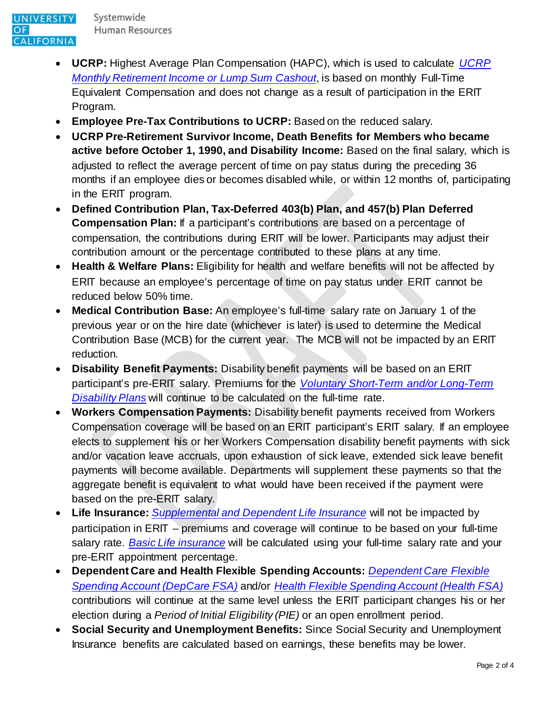- **UCRP:** Highest Average Plan Compensation (HAPC), which is used to calculate *[UCRP](http://ucnet.universityofcalifornia.edu/compensation-and-benefits/retirement-benefits/ucrp/eligibility.html)  [Monthly Retirement Income or Lump Sum Cashout](http://ucnet.universityofcalifornia.edu/compensation-and-benefits/retirement-benefits/ucrp/eligibility.html)*, is based on monthly Full-Time Equivalent Compensation and does not change as a result of participation in the ERIT Program.
- **Employee Pre-Tax Contributions to UCRP:** Based on the reduced salary.
- **UCRP Pre-Retirement Survivor Income, Death Benefits for Members who became active before October 1, 1990, and Disability Income:** Based on the final salary, which is adjusted to reflect the average percent of time on pay status during the preceding 36 months if an employee dies or becomes disabled while, or within 12 months of, participating in the ERIT program.
- **Defined Contribution Plan, Tax-Deferred 403(b) Plan, and 457(b) Plan Deferred Compensation Plan:** If a participant's contributions are based on a percentage of compensation, the contributions during ERIT will be lower. Participants may adjust their contribution amount or the percentage contributed to these plans at any time.
- **Health & Welfare Plans:** Eligibility for health and welfare benefits will not be affected by ERIT because an employee's percentage of time on pay status under ERIT cannot be reduced below 50% time.
- **Medical Contribution Base:** An employee's full-time salary rate on January 1 of the previous year or on the hire date (whichever is later) is used to determine the Medical Contribution Base (MCB) for the current year. The MCB will not be impacted by an ERIT reduction.
- **Disability Benefit Payments:** Disability benefit payments will be based on an ERIT participant's pre-ERIT salary. Premiums for the *[Voluntary Short-Term and/or Long-Term](http://ucnet.universityofcalifornia.edu/compensation-and-benefits/disability-life-accident/disability/index.html)  [Disability Plans](http://ucnet.universityofcalifornia.edu/compensation-and-benefits/disability-life-accident/disability/index.html)* will continue to be calculated on the full-time rate.
- **Workers Compensation Payments:** Disability benefit payments received from Workers Compensation coverage will be based on an ERIT participant's ERIT salary. If an employee elects to supplement his or her Workers Compensation disability benefit payments with sick and/or vacation leave accruals, upon exhaustion of sick leave, extended sick leave benefit payments will become available. Departments will supplement these payments so that the aggregate benefit is equivalent to what would have been received if the payment were based on the pre-ERIT salary.
- **Life Insurance:** *[Supplemental and Dependent Life Insurance](http://ucnet.universityofcalifornia.edu/compensation-and-benefits/disability-life-accident/life-insurance/index.html)* will not be impacted by participation in ERIT – premiums and coverage will continue to be based on your full-time salary rate. *[Basic Life insurance](http://ucnet.universityofcalifornia.edu/compensation-and-benefits/disability-life-accident/life-insurance/index.html)* will be calculated using your full-time salary rate and your pre-ERIT appointment percentage.
- **Dependent Care and Health Flexible Spending Accounts:** *[Dependent Care Flexible](http://ucnet.universityofcalifornia.edu/compensation-and-benefits/other-benefits/flexible-spending-accounts/)  [Spending Account \(DepCare FSA\)](http://ucnet.universityofcalifornia.edu/compensation-and-benefits/other-benefits/flexible-spending-accounts/)* and/or *[Health Flexible Spending Account \(Health FSA\)](http://ucnet.universityofcalifornia.edu/compensation-and-benefits/other-benefits/flexible-spending-accounts/)* contributions will continue at the same level unless the ERIT participant changes his or her election during a *Period of Initial Eligibility (PIE)* or an open enrollment period.
- **Social Security and Unemployment Benefits:** Since Social Security and Unemployment Insurance benefits are calculated based on earnings, these benefits may be lower.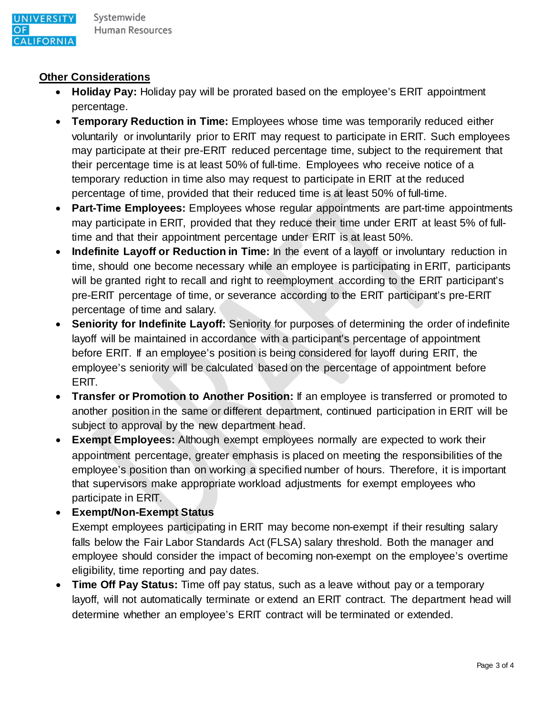# **Other Considerations**

- **Holiday Pay:** Holiday pay will be prorated based on the employee's ERIT appointment percentage.
- **Temporary Reduction in Time:** Employees whose time was temporarily reduced either voluntarily or involuntarily prior to ERIT may request to participate in ERIT. Such employees may participate at their pre-ERIT reduced percentage time, subject to the requirement that their percentage time is at least 50% of full-time. Employees who receive notice of a temporary reduction in time also may request to participate in ERIT at the reduced percentage of time, provided that their reduced time is at least 50% of full-time.
- **Part-Time Employees:** Employees whose regular appointments are part-time appointments may participate in ERIT, provided that they reduce their time under ERIT at least 5% of fulltime and that their appointment percentage under ERIT is at least 50%.
- **Indefinite Layoff or Reduction in Time:** In the event of a layoff or involuntary reduction in time, should one become necessary while an employee is participating in ERIT, participants will be granted right to recall and right to reemployment according to the ERIT participant's pre-ERIT percentage of time, or severance according to the ERIT participant's pre-ERIT percentage of time and salary.
- **Seniority for Indefinite Layoff:** Seniority for purposes of determining the order of indefinite layoff will be maintained in accordance with a participant's percentage of appointment before ERIT. If an employee's position is being considered for layoff during ERIT, the employee's seniority will be calculated based on the percentage of appointment before ERIT.
- **Transfer or Promotion to Another Position:** If an employee is transferred or promoted to another position in the same or different department, continued participation in ERIT will be subject to approval by the new department head.
- **Exempt Employees:** Although exempt employees normally are expected to work their appointment percentage, greater emphasis is placed on meeting the responsibilities of the employee's position than on working a specified number of hours. Therefore, it is important that supervisors make appropriate workload adjustments for exempt employees who participate in ERIT.

# • **Exempt/Non-Exempt Status**

Exempt employees participating in ERIT may become non-exempt if their resulting salary falls below the Fair Labor Standards Act (FLSA) salary threshold. Both the manager and employee should consider the impact of becoming non-exempt on the employee's overtime eligibility, time reporting and pay dates.

• **Time Off Pay Status:** Time off pay status, such as a leave without pay or a temporary layoff, will not automatically terminate or extend an ERIT contract. The department head will determine whether an employee's ERIT contract will be terminated or extended.